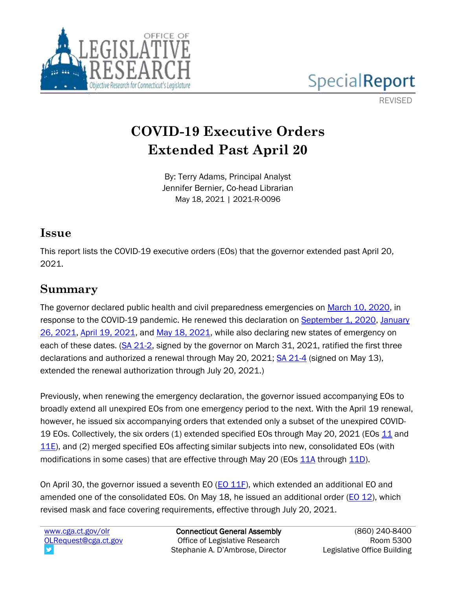



REVISED

# **COVID-19 Executive Orders Extended Past April 20**

By: Terry Adams, Principal Analyst Jennifer Bernier, Co-head Librarian May 18, 2021 | 2021-R-0096

### **Issue**

This report lists the COVID-19 executive orders (EOs) that the governor extended past April 20, 2021.

### **Summary**

The governor declared public health and civil preparedness emergencies on [March 10, 2020,](https://portal.ct.gov/-/media/Office-of-the-Governor/News/20200310-declaration-of-civil-preparedness-and-public-health-emergency.pdf?la=en) in response to the COVID-19 pandemic. He renewed this declaration on [September 1, 2020,](https://portal.ct.gov/-/media/Office-of-the-Governor/News/20200901-Renewed-COVID-19-Emergency-Declarations.pdf) [January](https://portal.ct.gov/-/media/Office-of-the-Governor/News/2021/20210126-Governor-Lamont-Declaration-of-Emergency.pdf)  [26, 2021,](https://portal.ct.gov/-/media/Office-of-the-Governor/News/2021/20210126-Governor-Lamont-Declaration-of-Emergency.pdf) [April 19, 2021,](https://portal.ct.gov/-/media/Office-of-the-Governor/News/2021/20210419-COVID-emergency-declaration.pdf) and [May 18, 2021,](https://portal.ct.gov/-/media/Office-of-the-Governor/News/2021/20210518-Gov-Lamont-COVID-emergency-declaration.pdf) while also declaring new states of emergency on each of these dates. [\(SA 21-2,](https://www.cga.ct.gov/asp/cgabillstatus/cgabillstatus.asp?selBillType=Bill&which_year=2021&bill_num=6672) signed by the governor on March 31, 2021, ratified the first three declarations and authorized a renewal through May 20, 2021; [SA 21-4](https://www.cga.ct.gov/asp/cgabillstatus/cgabillstatus.asp?selBillType=Bill&which_year=2021&bill_num=6686) (signed on May 13), extended the renewal authorization through July 20, 2021.)

Previously, when renewing the emergency declaration, the governor issued accompanying EOs to broadly extend all unexpired EOs from one emergency period to the next. With the April 19 renewal, however, he issued six accompanying orders that extended only a subset of the unexpired COVID-19 EOs. Collectively, the six orders (1) extended specified EOs through May 20, 2021 (EOs [11](https://portal.ct.gov/-/media/Office-of-the-Governor/Executive-Orders/Lamont-Executive-Orders/Executive-Order-No-11.pdf) and [11E\)](https://portal.ct.gov/-/media/Office-of-the-Governor/Executive-Orders/Lamont-Executive-Orders/Executive-Order-No-11E.pdf), and (2) merged specified EOs affecting similar subjects into new, consolidated EOs (with modifications in some cases) that are effective through May 20 (EOs [11A](https://portal.ct.gov/-/media/Office-of-the-Governor/Executive-Orders/Lamont-Executive-Orders/Executive-Order-No-11A.pdf) through [11D\)](https://portal.ct.gov/-/media/Office-of-the-Governor/Executive-Orders/Lamont-Executive-Orders/Executive-Order-No-11D.pdf).

On April 30, the governor issued a seventh EO  $(EO 11F)$ , which extended an additional EO and amended one of the consolidated EOs. On May 18, he issued an additional order ( $E_0$  12), which revised mask and face covering requirements, effective through July 20, 2021.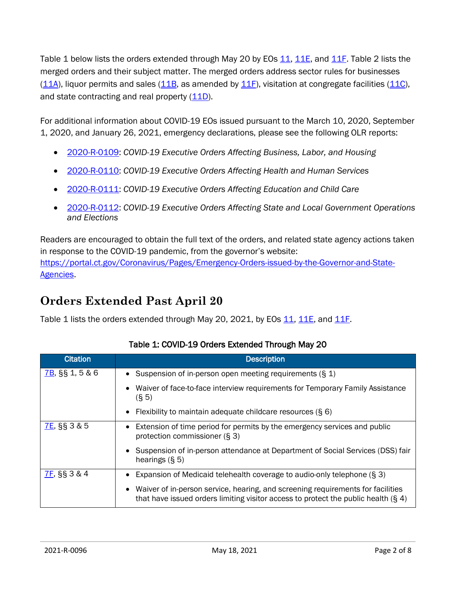Table 1 below lists the orders extended through May 20 by EOs [11,](https://portal.ct.gov/-/media/Office-of-the-Governor/Executive-Orders/Lamont-Executive-Orders/Executive-Order-No-11.pdf) [11E,](https://portal.ct.gov/-/media/Office-of-the-Governor/Executive-Orders/Lamont-Executive-Orders/Executive-Order-No-11E.pdf) and [11F.](https://portal.ct.gov/-/media/Office-of-the-Governor/Executive-Orders/Lamont-Executive-Orders/Executive-Order-No-11F.pdf) Table 2 lists the merged orders and their subject matter. The merged orders address sector rules for businesses  $(11A)$ , liquor permits and sales  $(11B)$ , as amended by  $11F$ ), visitation at congregate facilities  $(11C)$ , and state contracting and real property [\(11D\)](https://portal.ct.gov/-/media/Office-of-the-Governor/Executive-Orders/Lamont-Executive-Orders/Executive-Order-No-11D.pdf).

For additional information about COVID-19 EOs issued pursuant to the March 10, 2020, September 1, 2020, and January 26, 2021, emergency declarations, please see the following OLR reports:

- [2020-R-0109:](https://www.cga.ct.gov/2020/rpt/pdf/2020-R-0109.pdf?t=5/10/2021%204:52:12%20PM) *COVID-19 Executive Orders Affecting Business, Labor, and Housing*
- [2020-R-0110:](https://www.cga.ct.gov/2020/rpt/pdf/2020-R-0110.pdf?t=5/10/2021%204:52:12%20PM) *COVID-19 Executive Orders Affecting Health and Human Services*
- [2020-R-0111:](https://www.cga.ct.gov/2020/rpt/pdf/2020-R-0111.pdf?t=5/10/2021%204:52:12%20PM) *COVID-19 Executive Orders Affecting Education and Child Care*
- [2020-R-0112:](https://www.cga.ct.gov/2020/rpt/pdf/2020-R-0112.pdf?t=5/10/2021%204:52:12%20PM) *COVID-19 Executive Orders Affecting State and Local Government Operations and Elections*

Readers are encouraged to obtain the full text of the orders, and related state agency actions taken in response to the COVID-19 pandemic, from the governor's website: [https://portal.ct.gov/Coronavirus/Pages/Emergency-Orders-issued-by-the-Governor-and-State-](https://portal.ct.gov/Coronavirus/Pages/Emergency-Orders-issued-by-the-Governor-and-State-Agencies)[Agencies.](https://portal.ct.gov/Coronavirus/Pages/Emergency-Orders-issued-by-the-Governor-and-State-Agencies)

# **Orders Extended Past April 20**

Table 1 lists the orders extended through May 20, 2021, by EOs [11,](https://portal.ct.gov/-/media/Office-of-the-Governor/Executive-Orders/Lamont-Executive-Orders/Executive-Order-No-11.pdf) [11E,](https://portal.ct.gov/-/media/Office-of-the-Governor/Executive-Orders/Lamont-Executive-Orders/Executive-Order-No-11E.pdf) and [11F.](https://portal.ct.gov/-/media/Office-of-the-Governor/Executive-Orders/Lamont-Executive-Orders/Executive-Order-No-11F.pdf)

| <b>Citation</b>    | <b>Description</b>                                                                                                                                                        |
|--------------------|---------------------------------------------------------------------------------------------------------------------------------------------------------------------------|
| $7B$ , §§ 1, 5 & 6 | Suspension of in-person open meeting requirements $(\S 1)$                                                                                                                |
|                    | Waiver of face-to-face interview requirements for Temporary Family Assistance<br>(S <sub>5</sub> )                                                                        |
|                    | Flexibility to maintain adequate childcare resources (§ 6)<br>٠                                                                                                           |
| $7E$ , §§ 3 & 5    | Extension of time period for permits by the emergency services and public<br>$\bullet$<br>protection commissioner (§ 3)                                                   |
|                    | • Suspension of in-person attendance at Department of Social Services (DSS) fair<br>hearings $(S, 5)$                                                                     |
| $7F,$ §§ 3 & 4     | Expansion of Medicaid telehealth coverage to audio-only telephone (§ 3)                                                                                                   |
|                    | • Waiver of in-person service, hearing, and screening requirements for facilities<br>that have issued orders limiting visitor access to protect the public health $(§ 4)$ |

#### Table 1: COVID-19 Orders Extended Through May 20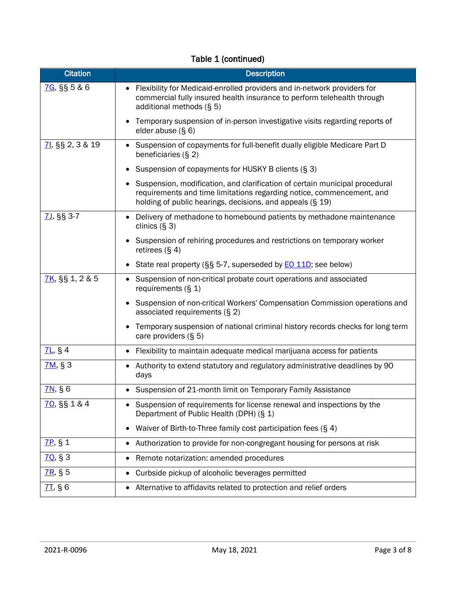| <b>Citation</b>    | <b>Description</b>                                                                                                                                                                                                             |
|--------------------|--------------------------------------------------------------------------------------------------------------------------------------------------------------------------------------------------------------------------------|
| 7G, §§ 5 & 6       | Flexibility for Medicaid-enrolled providers and in-network providers for<br>commercial fully insured health insurance to perform telehealth through<br>additional methods (§ 5)                                                |
|                    | Temporary suspension of in-person investigative visits regarding reports of<br>elder abuse $(S, 6)$                                                                                                                            |
| 71, \$8, 2, 3 & 19 | Suspension of copayments for full-benefit dually eligible Medicare Part D<br>$\bullet$<br>beneficiaries (§ 2)                                                                                                                  |
|                    | Suspension of copayments for HUSKY B clients (§ 3)                                                                                                                                                                             |
|                    | Suspension, modification, and clarification of certain municipal procedural<br>$\bullet$<br>requirements and time limitations regarding notice, commencement, and<br>holding of public hearings, decisions, and appeals (§ 19) |
| $7J,$ §§ 3-7       | Delivery of methadone to homebound patients by methadone maintenance<br>clinics $(§ 3)$                                                                                                                                        |
|                    | Suspension of rehiring procedures and restrictions on temporary worker<br>retirees $(\S 4)$                                                                                                                                    |
|                    | State real property (§§ 5-7, superseded by <b>EO 11D</b> ; see below)                                                                                                                                                          |
| $7K,$ §§ 1, 2 & 5  | Suspension of non-critical probate court operations and associated<br>$\bullet$<br>requirements $(S_1 1)$                                                                                                                      |
|                    | Suspension of non-critical Workers' Compensation Commission operations and<br>associated requirements $(S2)$                                                                                                                   |
|                    | Temporary suspension of national criminal history records checks for long term<br>care providers (§ 5)                                                                                                                         |
| $7L,$ § 4          | Flexibility to maintain adequate medical marijuana access for patients<br>$\bullet$                                                                                                                                            |
| $7M,$ § 3          | Authority to extend statutory and regulatory administrative deadlines by 90<br>٠<br>days                                                                                                                                       |
| $7N,$ § 6          | Suspension of 21-month limit on Temporary Family Assistance<br>$\bullet$                                                                                                                                                       |
| 70, §§ 1 & 4       | Suspension of requirements for license renewal and inspections by the<br>$\bullet$<br>Department of Public Health (DPH) (§ 1)                                                                                                  |
|                    | Waiver of Birth-to-Three family cost participation fees (§ 4)<br>$\bullet$                                                                                                                                                     |
| $7P,$ § 1          | Authorization to provide for non-congregant housing for persons at risk<br>٠                                                                                                                                                   |
| 70, 83             | Remote notarization: amended procedures<br>$\bullet$                                                                                                                                                                           |
| $7R,$ § 5          | Curbside pickup of alcoholic beverages permitted<br>$\bullet$                                                                                                                                                                  |
| $7I,$ § 6          | Alternative to affidavits related to protection and relief orders<br>٠                                                                                                                                                         |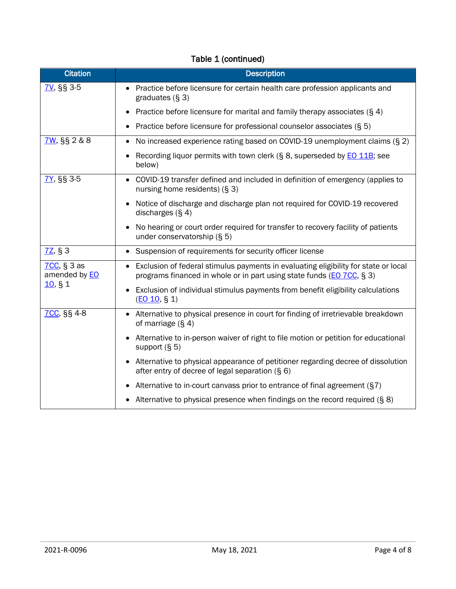| <b>Citation</b>                       | <b>Description</b>                                                                                                                                                        |
|---------------------------------------|---------------------------------------------------------------------------------------------------------------------------------------------------------------------------|
| <b>7V, §§ 3-5</b>                     | • Practice before licensure for certain health care profession applicants and<br>graduates $(S3)$                                                                         |
|                                       | Practice before licensure for marital and family therapy associates (§ 4)                                                                                                 |
|                                       | Practice before licensure for professional counselor associates (§ 5)<br>$\bullet$                                                                                        |
| 7W, §§ 2 & 8                          | No increased experience rating based on COVID-19 unemployment claims (§ 2)<br>$\bullet$                                                                                   |
|                                       | Recording liquor permits with town clerk (§ 8, superseded by <b>EO 11B</b> ; see<br>$\bullet$<br>below)                                                                   |
| 7Y, §§ 3-5                            | COVID-19 transfer defined and included in definition of emergency (applies to<br>nursing home residents) (§ 3)                                                            |
|                                       | Notice of discharge and discharge plan not required for COVID-19 recovered<br>$\bullet$<br>discharges $(S, 4)$                                                            |
|                                       | No hearing or court order required for transfer to recovery facility of patients<br>$\bullet$<br>under conservatorship $(§ 5)$                                            |
| $7Z,$ § 3                             | Suspension of requirements for security officer license<br>$\bullet$                                                                                                      |
| $7CC,$ § 3 as<br>amended by <b>EO</b> | Exclusion of federal stimulus payments in evaluating eligibility for state or local<br>$\bullet$<br>programs financed in whole or in part using state funds (EO 7CC, § 3) |
| 10, 81                                | Exclusion of individual stimulus payments from benefit eligibility calculations<br>(EO 10, S 1)                                                                           |
| 7CC, §§ 4-8                           | • Alternative to physical presence in court for finding of irretrievable breakdown<br>of marriage $(S, 4)$                                                                |
|                                       | Alternative to in-person waiver of right to file motion or petition for educational<br>$\bullet$<br>support $(S 5)$                                                       |
|                                       | Alternative to physical appearance of petitioner regarding decree of dissolution<br>$\bullet$<br>after entry of decree of legal separation (§ 6)                          |
|                                       | Alternative to in-court canvass prior to entrance of final agreement (§7)<br>٠                                                                                            |
|                                       | Alternative to physical presence when findings on the record required (§ 8)                                                                                               |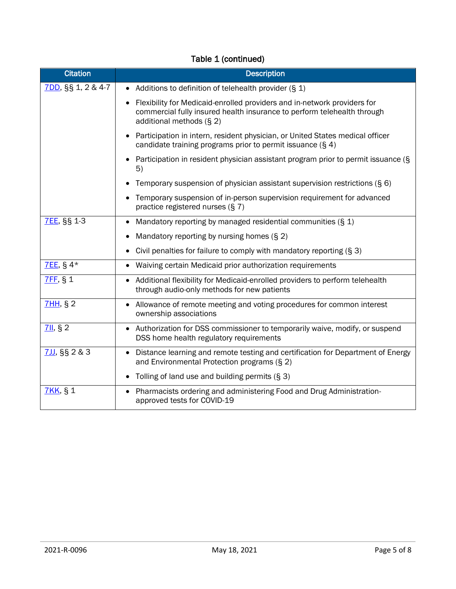| <b>Citation</b>    | <b>Description</b>                                                                                                                                                                             |
|--------------------|------------------------------------------------------------------------------------------------------------------------------------------------------------------------------------------------|
| 7DD, §§ 1, 2 & 4-7 | • Additions to definition of telehealth provider $(\S 1)$                                                                                                                                      |
|                    | Flexibility for Medicaid-enrolled providers and in-network providers for<br>$\bullet$<br>commercial fully insured health insurance to perform telehealth through<br>additional methods $(§ 2)$ |
|                    | Participation in intern, resident physician, or United States medical officer<br>candidate training programs prior to permit issuance $(\S 4)$                                                 |
|                    | • Participation in resident physician assistant program prior to permit issuance $(\S$<br>5)                                                                                                   |
|                    | Temporary suspension of physician assistant supervision restrictions (§ 6)                                                                                                                     |
|                    | Temporary suspension of in-person supervision requirement for advanced<br>$\bullet$<br>practice registered nurses (§ 7)                                                                        |
| <b>7EE, §§ 1-3</b> | Mandatory reporting by managed residential communities (§ 1)                                                                                                                                   |
|                    | Mandatory reporting by nursing homes $(S 2)$<br>٠                                                                                                                                              |
|                    | Civil penalties for failure to comply with mandatory reporting (§ 3)                                                                                                                           |
| $7EE$ , § 4*       | Waiving certain Medicaid prior authorization requirements<br>$\bullet$                                                                                                                         |
| 7FF, § 1           | Additional flexibility for Medicaid-enrolled providers to perform telehealth<br>$\bullet$<br>through audio-only methods for new patients                                                       |
| 7HH, §2            | • Allowance of remote meeting and voting procedures for common interest<br>ownership associations                                                                                              |
| 7II, §2            | Authorization for DSS commissioner to temporarily waive, modify, or suspend<br>$\bullet$<br>DSS home health regulatory requirements                                                            |
| $7JJ,$ §§ 2 & 3    | • Distance learning and remote testing and certification for Department of Energy<br>and Environmental Protection programs (§ 2)                                                               |
|                    | Tolling of land use and building permits $(S3)$<br>$\bullet$                                                                                                                                   |
| <b>7KK, §1</b>     | Pharmacists ordering and administering Food and Drug Administration-<br>$\bullet$<br>approved tests for COVID-19                                                                               |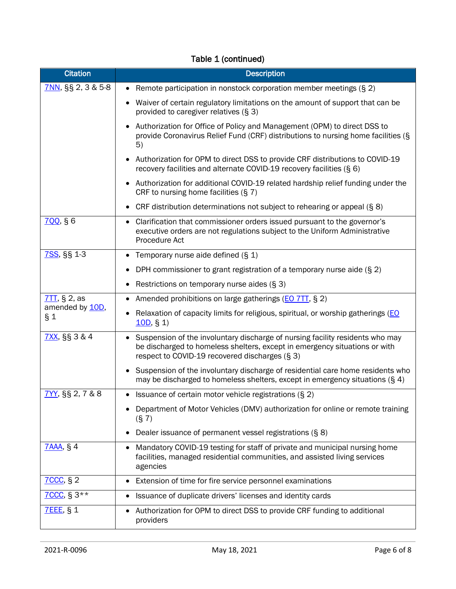| <b>Citation</b>           | <b>Description</b>                                                                                                                                                                                              |
|---------------------------|-----------------------------------------------------------------------------------------------------------------------------------------------------------------------------------------------------------------|
| $7NN$ , §§ 2, 3 & 5-8     | Remote participation in nonstock corporation member meetings (§ 2)<br>$\bullet$                                                                                                                                 |
|                           | Waiver of certain regulatory limitations on the amount of support that can be<br>$\bullet$<br>provided to caregiver relatives (§ 3)                                                                             |
|                           | Authorization for Office of Policy and Management (OPM) to direct DSS to<br>provide Coronavirus Relief Fund (CRF) distributions to nursing home facilities (§<br>5)                                             |
|                           | Authorization for OPM to direct DSS to provide CRF distributions to COVID-19<br>recovery facilities and alternate COVID-19 recovery facilities (§ 6)                                                            |
|                           | Authorization for additional COVID-19 related hardship relief funding under the<br>٠<br>CRF to nursing home facilities $(S 7)$                                                                                  |
|                           | CRF distribution determinations not subject to rehearing or appeal (§ 8)                                                                                                                                        |
| 700, § 6                  | Clarification that commissioner orders issued pursuant to the governor's<br>$\bullet$<br>executive orders are not regulations subject to the Uniform Administrative<br>Procedure Act                            |
| 7SS, §§ 1-3               | Temporary nurse aide defined (§ 1)                                                                                                                                                                              |
|                           | DPH commissioner to grant registration of a temporary nurse aide $(S 2)$<br>٠                                                                                                                                   |
|                           | Restrictions on temporary nurse aides $(S3)$                                                                                                                                                                    |
| $7TT$ , § 2, as           | Amended prohibitions on large gatherings (EO 7TT, § 2)                                                                                                                                                          |
| amended by 10D,<br>$\S_1$ | Relaxation of capacity limits for religious, spiritual, or worship gatherings (EO<br>10D, § 1)                                                                                                                  |
| 7XX, §§ 3 & 4             | • Suspension of the involuntary discharge of nursing facility residents who may<br>be discharged to homeless shelters, except in emergency situations or with<br>respect to COVID-19 recovered discharges (§ 3) |
|                           | Suspension of the involuntary discharge of residential care home residents who<br>٠<br>may be discharged to homeless shelters, except in emergency situations $(§ 4)$                                           |
| 7YY, §§ 2, 7 & 8          | • Issuance of certain motor vehicle registrations $(\S 2)$                                                                                                                                                      |
|                           | Department of Motor Vehicles (DMV) authorization for online or remote training<br>(S 7)                                                                                                                         |
|                           | Dealer issuance of permanent vessel registrations (§ 8)                                                                                                                                                         |
| <b>7AAA, § 4</b>          | Mandatory COVID-19 testing for staff of private and municipal nursing home<br>٠<br>facilities, managed residential communities, and assisted living services<br>agencies                                        |
| <b>7CCC, § 2</b>          | Extension of time for fire service personnel examinations                                                                                                                                                       |
| 7CCC, § $3**$             | Issuance of duplicate drivers' licenses and identity cards                                                                                                                                                      |
| <b>7EEE, § 1</b>          | Authorization for OPM to direct DSS to provide CRF funding to additional<br>$\bullet$<br>providers                                                                                                              |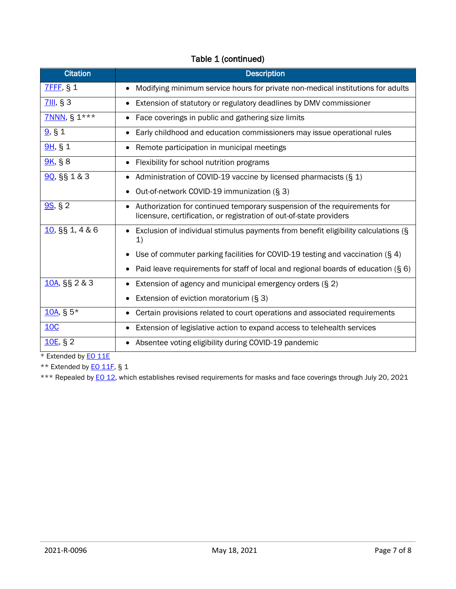| <b>Citation</b>   | <b>Description</b>                                                                                                                                           |
|-------------------|--------------------------------------------------------------------------------------------------------------------------------------------------------------|
| <b>7FFF, § 1</b>  | Modifying minimum service hours for private non-medical institutions for adults                                                                              |
| 7III, § 3         | Extension of statutory or regulatory deadlines by DMV commissioner<br>$\bullet$                                                                              |
| 7NNN, § 1***      | Face coverings in public and gathering size limits                                                                                                           |
| 9, 81             | Early childhood and education commissioners may issue operational rules<br>$\bullet$                                                                         |
| 9H, § 1           | Remote participation in municipal meetings                                                                                                                   |
| $9K,$ § 8         | Flexibility for school nutrition programs                                                                                                                    |
| 90, §§ 1 & 3      | Administration of COVID-19 vaccine by licensed pharmacists (§ 1)<br>٠                                                                                        |
|                   | Out-of-network COVID-19 immunization (§ 3)<br>$\bullet$                                                                                                      |
| $9S, \S 2$        | Authorization for continued temporary suspension of the requirements for<br>$\bullet$<br>licensure, certification, or registration of out-of-state providers |
| $10,$ §§ 1, 4 & 6 | Exclusion of individual stimulus payments from benefit eligibility calculations (§<br>$\mathbf{1}$                                                           |
|                   | Use of commuter parking facilities for COVID-19 testing and vaccination $(\S 4)$                                                                             |
|                   | Paid leave requirements for staff of local and regional boards of education $(\S 6)$                                                                         |
| 10A, §§ 2 & 3     | Extension of agency and municipal emergency orders (§ 2)<br>$\bullet$                                                                                        |
|                   | Extension of eviction moratorium (§ 3)<br>$\bullet$                                                                                                          |
| $10A, S5*$        | Certain provisions related to court operations and associated requirements<br>٠                                                                              |
| 10C               | Extension of legislative action to expand access to telehealth services<br>٠                                                                                 |
| 10E, § 2          | Absentee voting eligibility during COVID-19 pandemic                                                                                                         |

\* Extended by **EO 11E** 

\*\* Extended by **EO 11F**, § 1

\*\*\* Repealed by **EO 12**, which establishes revised requirements for masks and face coverings through July 20, 2021